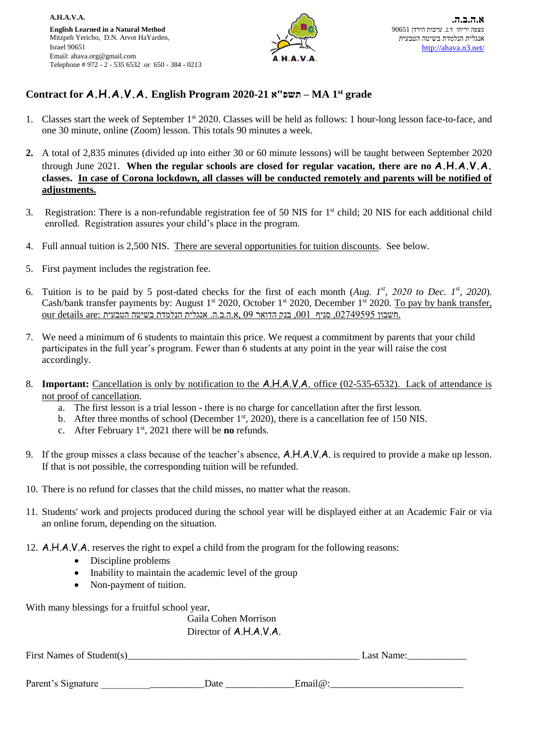

## **Contract for A.H.A.V.A. English Program 2020-21 א"תשפ – MA 1 st grade**

- 1. Classes start the week of September 1<sup>st</sup> 2020. Classes will be held as follows: 1 hour-long lesson face-to-face, and one 30 minute, online (Zoom) lesson. This totals 90 minutes a week.
- **2.** A total of 2,835 minutes (divided up into either 30 or 60 minute lessons) will be taught between September 2020 through June 2021. **When the regular schools are closed for regular vacation, there are no A.H.A.V.A. classes. In case of Corona lockdown, all classes will be conducted remotely and parents will be notified of adjustments.**
- 3. Registration: There is a non-refundable registration fee of 50 NIS for 1st child; 20 NIS for each additional child enrolled. Registration assures your child's place in the program.
- 4. Full annual tuition is 2,500 NIS. There are several opportunities for tuition discounts. See below.
- 5. First payment includes the registration fee.
- 6. Tuition is to be paid by 5 post-dated checks for the first of each month (Aug.  $I^{st}$ , 2020 *to Dec.*  $I^{st}$ , 2020). Cash/bank transfer payments by: August 1<sup>st</sup> 2020, October 1<sup>st</sup> 2020, December 1<sup>st</sup> 2020. To pay by bank transfer, our details are: חשבון 2749595, סניף ,001 בנק הדואר 09 ,א.ה.ב.ה. אנגלית הנלמדת בשיטה הטבעית
- 7. We need a minimum of 6 students to maintain this price. We request a commitment by parents that your child participates in the full year's program. Fewer than 6 students at any point in the year will raise the cost accordingly.
- 8. **Important:** Cancellation is only by notification to the A.H.A.V.A. office (02-535-6532). Lack of attendance is not proof of cancellation.
	- a. The first lesson is a trial lesson there is no charge for cancellation after the first lesson.
	- b. After three months of school (December  $1<sup>st</sup>$ , 2020), there is a cancellation fee of 150 NIS.
	- c. After February 1st, 2021 there will be **no** refunds.
- 9. If the group misses a class because of the teacher's absence, A.H.A.V.A. is required to provide a make up lesson. If that is not possible, the corresponding tuition will be refunded.
- 10. There is no refund for classes that the child misses, no matter what the reason.
- 11. Students' work and projects produced during the school year will be displayed either at an Academic Fair or via an online forum, depending on the situation.
- 12. A.H.A.V.A. reserves the right to expel a child from the program for the following reasons:
	- Discipline problems
	- Inability to maintain the academic level of the group
	- Non-payment of tuition.

With many blessings for a fruitful school year,

Gaila Cohen Morrison Director of A.H.A.V.A.

First Names of Student(s) Last Name:

| Parent<br>-<br>Signature. | Date | . I (a)<br>чна. |  |
|---------------------------|------|-----------------|--|
| - --- ---- -              |      |                 |  |